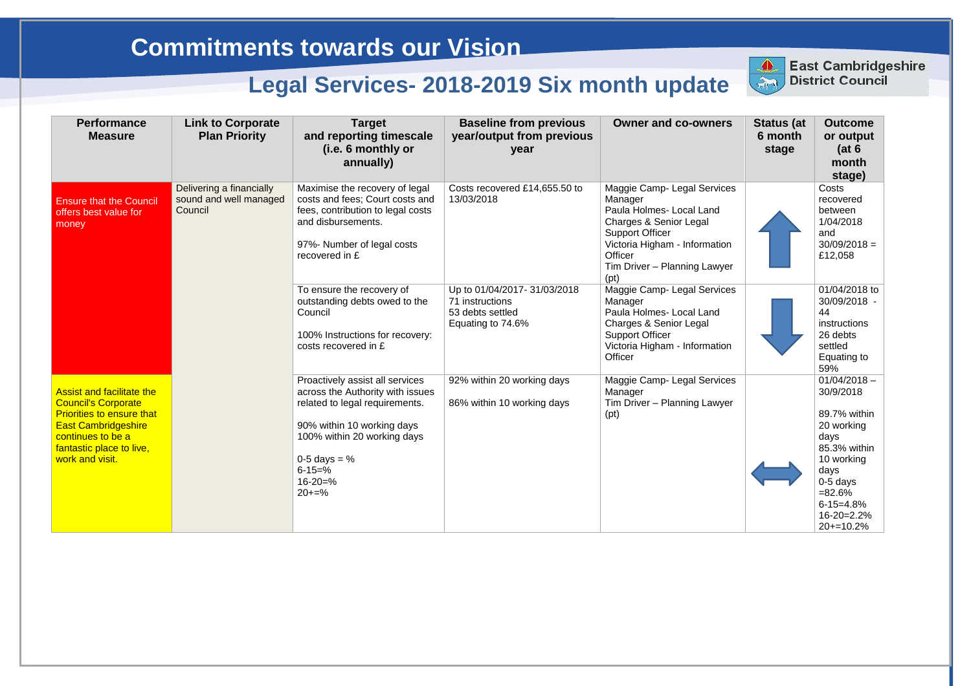| <b>Performance</b><br><b>Measure</b>                                                                                                                                                                 | <b>Link to Corporate</b><br><b>Plan Priority</b>              | <b>Target</b><br>and reporting timescale<br>(i.e. 6 monthly or<br>annually)                                                                                                                                                        | <b>Baseline from previous</b><br>year/output from previous<br>year                      | <b>Owner and co-owners</b>                                                                                                                                                                                                   | <b>Status (at</b><br>6 month<br>stage | <b>Outcome</b><br>or output<br>(at 6)<br>month<br>stage)                                                                                                                          |
|------------------------------------------------------------------------------------------------------------------------------------------------------------------------------------------------------|---------------------------------------------------------------|------------------------------------------------------------------------------------------------------------------------------------------------------------------------------------------------------------------------------------|-----------------------------------------------------------------------------------------|------------------------------------------------------------------------------------------------------------------------------------------------------------------------------------------------------------------------------|---------------------------------------|-----------------------------------------------------------------------------------------------------------------------------------------------------------------------------------|
| <b>Ensure that the Council</b><br>offers best value for<br>money                                                                                                                                     | Delivering a financially<br>sound and well managed<br>Council | Maximise the recovery of legal<br>costs and fees; Court costs and<br>fees, contribution to legal costs<br>and disbursements.<br>97%- Number of legal costs<br>recovered in £                                                       | Costs recovered £14,655.50 to<br>13/03/2018                                             | Maggie Camp- Legal Services<br>Manager<br>Paula Holmes- Local Land<br><b>Charges &amp; Senior Legal</b><br><b>Support Officer</b><br>Victoria Higham - Information<br><b>Officer</b><br>Tim Driver - Planning Lawyer<br>(pt) |                                       | Costs<br>recovered<br>between<br>1/04/2018<br>and<br>$30/09/2018 =$<br>£12,058                                                                                                    |
|                                                                                                                                                                                                      |                                                               | To ensure the recovery of<br>outstanding debts owed to the<br>Council<br>100% Instructions for recovery:<br>costs recovered in £                                                                                                   | Up to 01/04/2017-31/03/2018<br>71 instructions<br>53 debts settled<br>Equating to 74.6% | Maggie Camp- Legal Services<br>Manager<br>Paula Holmes- Local Land<br><b>Charges &amp; Senior Legal</b><br><b>Support Officer</b><br>Victoria Higham - Information<br>Officer                                                |                                       | 01/04/2018 to<br>30/09/2018 -<br>44<br>instructions<br>26 debts<br>settled<br>Equating to<br>59%                                                                                  |
| <b>Assist and facilitate the</b><br><b>Council's Corporate</b><br><b>Priorities to ensure that</b><br><b>East Cambridgeshire</b><br>continues to be a<br>fantastic place to live,<br>work and visit. |                                                               | Proactively assist all services<br>across the Authority with issues<br>related to legal requirements.<br>90% within 10 working days<br>100% within 20 working days<br>0-5 days = $%$<br>$6 - 15 = \%$<br>$16 - 20 = \%$<br>$20+=%$ | 92% within 20 working days<br>86% within 10 working days                                | Maggie Camp- Legal Services<br>Manager<br>Tim Driver - Planning Lawyer<br>(pt)                                                                                                                                               |                                       | $01/04/2018 -$<br>30/9/2018<br>89.7% within<br>20 working<br>days<br>85.3% within<br>10 working<br>days<br>$0-5$ days<br>$= 82.6%$<br>$6 - 15 = 4.8%$<br>16-20=2.2%<br>$20+10.2%$ |



# East Cambridgeshire<br>District Council

### **Commitments towards our Vision**

## **Legal Services- 2018-2019 Six month update**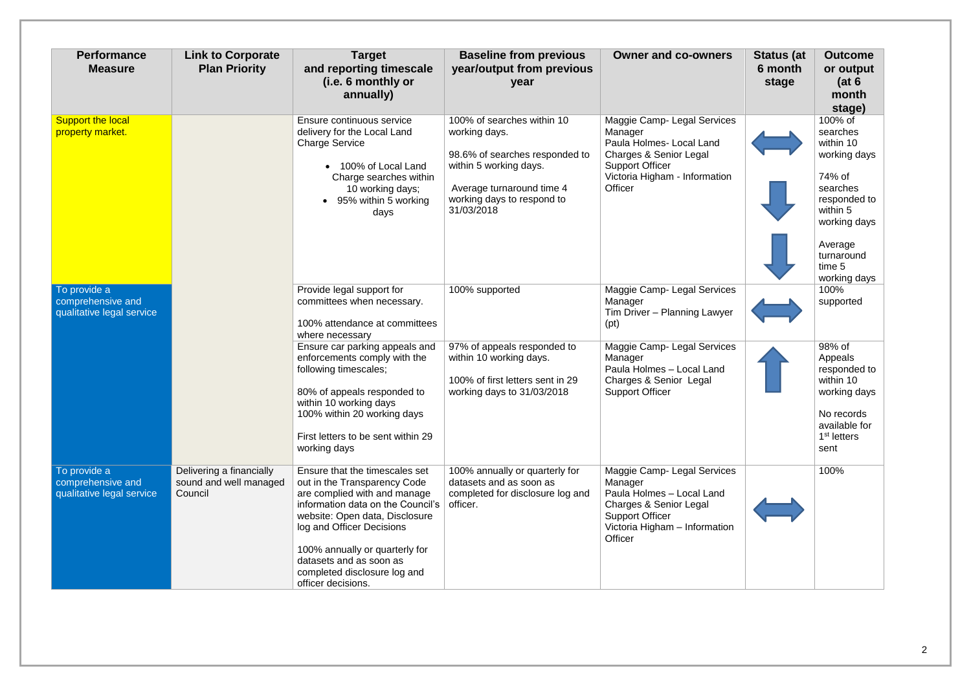| <b>Performance</b><br><b>Measure</b>                           | <b>Link to Corporate</b><br><b>Plan Priority</b>              | <b>Target</b><br>and reporting timescale<br>(i.e. 6 monthly or<br>annually)                                                                                                                                                                                                                                           | <b>Baseline from previous</b><br>year/output from previous<br>year                                                                                                               | <b>Owner and co-owners</b>                                                                                                                                          | <b>Status (at</b><br>6 month<br>stage | <b>Outcome</b><br>or output<br>(at 6)<br>month<br>stage)                                                                                                              |
|----------------------------------------------------------------|---------------------------------------------------------------|-----------------------------------------------------------------------------------------------------------------------------------------------------------------------------------------------------------------------------------------------------------------------------------------------------------------------|----------------------------------------------------------------------------------------------------------------------------------------------------------------------------------|---------------------------------------------------------------------------------------------------------------------------------------------------------------------|---------------------------------------|-----------------------------------------------------------------------------------------------------------------------------------------------------------------------|
| <b>Support the local</b><br>property market.                   |                                                               | Ensure continuous service<br>delivery for the Local Land<br><b>Charge Service</b><br>• 100% of Local Land<br>Charge searches within<br>10 working days;<br>• 95% within 5 working<br>days                                                                                                                             | 100% of searches within 10<br>working days.<br>98.6% of searches responded to<br>within 5 working days.<br>Average turnaround time 4<br>working days to respond to<br>31/03/2018 | Maggie Camp- Legal Services<br>Manager<br>Paula Holmes- Local Land<br>Charges & Senior Legal<br><b>Support Officer</b><br>Victoria Higham - Information<br>Officer  |                                       | 100% of<br>searches<br>within 10<br>working days<br>74% of<br>searches<br>responded to<br>within 5<br>working days<br>Average<br>turnaround<br>time 5<br>working days |
| To provide a<br>comprehensive and<br>qualitative legal service |                                                               | Provide legal support for<br>committees when necessary.<br>100% attendance at committees<br>where necessary                                                                                                                                                                                                           | 100% supported                                                                                                                                                                   | Maggie Camp- Legal Services<br>Manager<br>Tim Driver - Planning Lawyer<br>(pt)                                                                                      |                                       | 100%<br>supported                                                                                                                                                     |
|                                                                |                                                               | Ensure car parking appeals and<br>enforcements comply with the<br>following timescales;<br>80% of appeals responded to<br>within 10 working days<br>100% within 20 working days<br>First letters to be sent within 29<br>working days                                                                                 | 97% of appeals responded to<br>within 10 working days.<br>100% of first letters sent in 29<br>working days to 31/03/2018                                                         | Maggie Camp- Legal Services<br>Manager<br>Paula Holmes - Local Land<br>Charges & Senior Legal<br><b>Support Officer</b>                                             |                                       | 98% of<br>Appeals<br>responded to<br>within 10<br>working days<br>No records<br>available for<br>1 <sup>st</sup> letters<br>sent                                      |
| To provide a<br>comprehensive and<br>qualitative legal service | Delivering a financially<br>sound and well managed<br>Council | Ensure that the timescales set<br>out in the Transparency Code<br>are complied with and manage<br>information data on the Council's<br>website: Open data, Disclosure<br>log and Officer Decisions<br>100% annually or quarterly for<br>datasets and as soon as<br>completed disclosure log and<br>officer decisions. | 100% annually or quarterly for<br>datasets and as soon as<br>completed for disclosure log and<br>officer.                                                                        | Maggie Camp- Legal Services<br>Manager<br>Paula Holmes - Local Land<br>Charges & Senior Legal<br><b>Support Officer</b><br>Victoria Higham - Information<br>Officer |                                       | 100%                                                                                                                                                                  |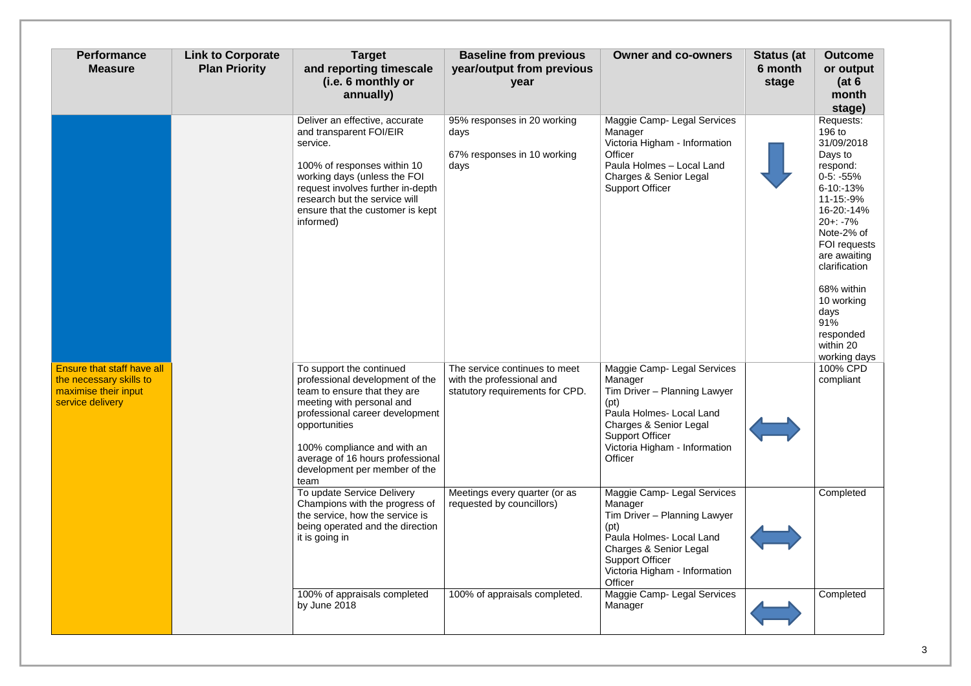| <b>Performance</b><br><b>Measure</b>                                                                     | <b>Link to Corporate</b><br><b>Plan Priority</b> | <b>Target</b><br>and reporting timescale<br>(i.e. 6 monthly or<br>annually)                                                                                                                                                                                                              | <b>Baseline from previous</b><br>year/output from previous<br>year                            | <b>Owner and co-owners</b>                                                                                                                                                                                           | <b>Status (at</b><br>6 month<br>stage | <b>Outcome</b><br>or output<br>(at 6)<br>month<br>stage)                                                                                                                                                                                                                                  |
|----------------------------------------------------------------------------------------------------------|--------------------------------------------------|------------------------------------------------------------------------------------------------------------------------------------------------------------------------------------------------------------------------------------------------------------------------------------------|-----------------------------------------------------------------------------------------------|----------------------------------------------------------------------------------------------------------------------------------------------------------------------------------------------------------------------|---------------------------------------|-------------------------------------------------------------------------------------------------------------------------------------------------------------------------------------------------------------------------------------------------------------------------------------------|
|                                                                                                          |                                                  | Deliver an effective, accurate<br>and transparent FOI/EIR<br>service.<br>100% of responses within 10<br>working days (unless the FOI<br>request involves further in-depth<br>research but the service will<br>ensure that the customer is kept<br>informed)                              | 95% responses in 20 working<br>days<br>67% responses in 10 working<br>days                    | Maggie Camp- Legal Services<br>Manager<br>Victoria Higham - Information<br>Officer<br>Paula Holmes - Local Land<br><b>Charges &amp; Senior Legal</b><br><b>Support Officer</b>                                       |                                       | Requests:<br>196 to<br>31/09/2018<br>Days to<br>respond:<br>$0-5: -55%$<br>$6 - 10 - 13%$<br>11-15:-9%<br>16-20:-14%<br>$20 + 1 - 7%$<br>Note-2% of<br>FOI requests<br>are awaiting<br>clarification<br>68% within<br>10 working<br>days<br>91%<br>responded<br>within 20<br>working days |
| <b>Ensure that staff have all</b><br>the necessary skills to<br>maximise their input<br>service delivery |                                                  | To support the continued<br>professional development of the<br>team to ensure that they are<br>meeting with personal and<br>professional career development<br>opportunities<br>100% compliance and with an<br>average of 16 hours professional<br>development per member of the<br>team | The service continues to meet<br>with the professional and<br>statutory requirements for CPD. | Maggie Camp- Legal Services<br>Manager<br>Tim Driver - Planning Lawyer<br>(pt)<br>Paula Holmes-Local Land<br><b>Charges &amp; Senior Legal</b><br><b>Support Officer</b><br>Victoria Higham - Information<br>Officer |                                       | 100% CPD<br>compliant                                                                                                                                                                                                                                                                     |
|                                                                                                          |                                                  | To update Service Delivery<br>Champions with the progress of<br>the service, how the service is<br>being operated and the direction<br>it is going in                                                                                                                                    | Meetings every quarter (or as<br>requested by councillors)                                    | Maggie Camp- Legal Services<br>Manager<br>Tim Driver - Planning Lawyer<br>(pt)<br>Paula Holmes-Local Land<br><b>Charges &amp; Senior Legal</b><br><b>Support Officer</b><br>Victoria Higham - Information<br>Officer |                                       | Completed                                                                                                                                                                                                                                                                                 |
|                                                                                                          |                                                  | 100% of appraisals completed<br>by June 2018                                                                                                                                                                                                                                             | 100% of appraisals completed.                                                                 | Maggie Camp- Legal Services<br>Manager                                                                                                                                                                               |                                       | Completed                                                                                                                                                                                                                                                                                 |